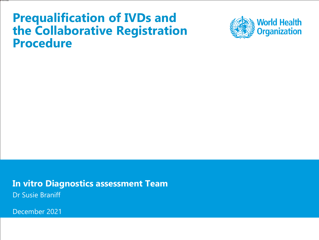### **Prequalification of IVDs and the Collaborative Registration Procedure**



**In vitro Diagnostics assessment Team** Dr Susie Braniff

December 2021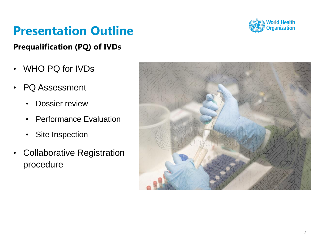

### **Presentation Outline**

#### **Prequalification (PQ) of IVDs**

- WHO PQ for IVDs
- PQ Assessment
	- Dossier review
	- Performance Evaluation
	- Site Inspection
- Collaborative Registration procedure

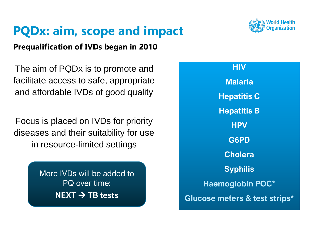### **PQDx: aim, scope and impact**

#### **Prequalification of IVDs began in 2010**

The aim of PQDx is to promote and facilitate access to safe, appropriate and affordable IVDs of good quality

Focus is placed on IVDs for priority diseases and their suitability for use in resource-limited settings

> More IVDs will be added to PQ over time: **NEXT** → **TB tests**

**HIV Malaria Hepatitis C Hepatitis B HPV G6PD Cholera Syphilis Haemoglobin POC\* Glucose meters & test strips\***

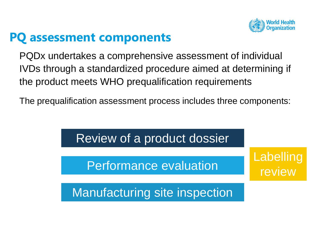

### **PQ assessment components**

PQDx undertakes a comprehensive assessment of individual IVDs through a standardized procedure aimed at determining if the product meets WHO prequalification requirements

The prequalification assessment process includes three components:

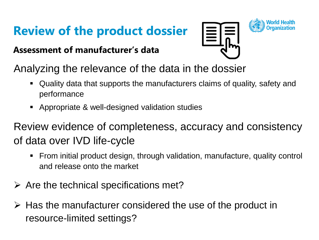## **Review of the product dossier**

#### **Assessment of manufacturer's data**





Analyzing the relevance of the data in the dossier

- Quality data that supports the manufacturers claims of quality, safety and performance
- Appropriate & well-designed validation studies

Review evidence of completeness, accuracy and consistency of data over IVD life-cycle

- From initial product design, through validation, manufacture, quality control and release onto the market
- $\triangleright$  Are the technical specifications met?
- ➢ Has the manufacturer considered the use of the product in resource-limited settings?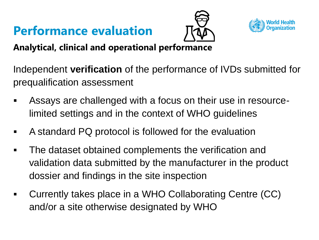## **Performance evaluation**





**Analytical, clinical and operational performance**

Independent **verification** of the performance of IVDs submitted for prequalification assessment

- Assays are challenged with a focus on their use in resourcelimited settings and in the context of WHO guidelines
- A standard PQ protocol is followed for the evaluation
- The dataset obtained complements the verification and validation data submitted by the manufacturer in the product dossier and findings in the site inspection
- Currently takes place in a WHO Collaborating Centre (CC) and/or a site otherwise designated by WHO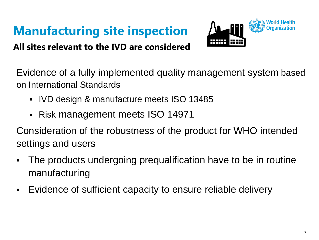# **Manufacturing site inspection**

**/\a\_nnn** 

**All sites relevant to the IVD are considered**

Evidence of a fully implemented quality management system based on International Standards

- IVD design & manufacture meets ISO 13485
- Risk management meets ISO 14971

Consideration of the robustness of the product for WHO intended settings and users

- The products undergoing prequalification have to be in routine manufacturing
- Evidence of sufficient capacity to ensure reliable delivery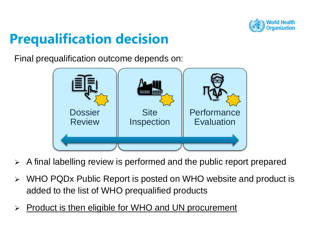

## **Prequalification decision**

Final prequalification outcome depends on:



- $\triangleright$  A final labelling review is performed and the public report prepared
- ➢ WHO PQDx Public Report is posted on WHO website and product is added to the list of WHO prequalified products
- ➢ Product is then eligible for WHO and UN procurement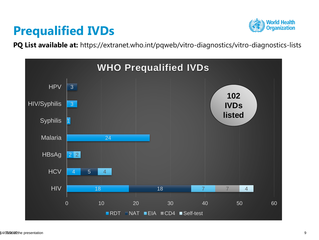### **Prequalified IVDs**



**PQ List available at:** https://extranet.who.int/pqweb/vitro-diagnostics/vitro-diagnostics-lists

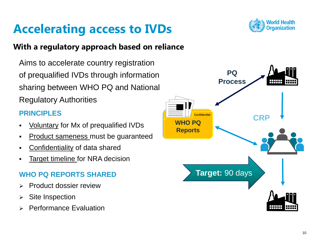### **Accelerating access to IVDs**

#### **With a regulatory approach based on reliance**

Aims to accelerate country registration of prequalified IVDs through information sharing between WHO PQ and National Regulatory Authorities

#### **PRINCIPLES**

- Voluntary for Mx of prequalified IVDs
- **•** Product sameness must be guaranteed
- Confidentiality of data shared
- **EXALUTE:** Target timeline for NRA decision

#### **WHO PQ REPORTS SHARED**

- ➢ Product dossier review
- ➢ Site Inspection
- ➢ Performance Evaluation



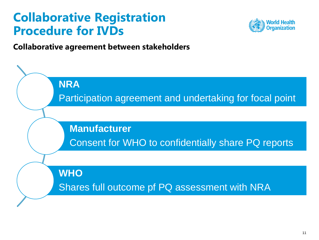### **Collaborative Registration Procedure for IVDs**



**Collaborative agreement between stakeholders**

**NRA** Participation agreement and undertaking for focal point **Manufacturer** Consent for WHO to confidentially share PQ reports **WHO** Shares full outcome pf PQ assessment with NRA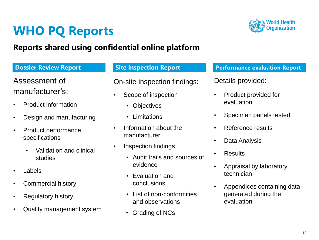### **WHO PQ Reports**

#### **Reports shared using confidential online platform**

Assessment of manufacturer's:

- Product information
- Design and manufacturing
- Product performance specifications
	- Validation and clinical studies
- **Labels**
- Commercial history
- Regulatory history
- Quality management system

On-site inspection findings:

- Scope of inspection
	- Objectives
	- Limitations
- Information about the manufacturer
- Inspection findings
	- Audit trails and sources of evidence
	- Evaluation and conclusions
	- List of non-conformities and observations
	- Grading of NCs

#### **Dossier Review Report Site inspection Report Performance evaluation Report**

#### Details provided:

- Product provided for evaluation
- Specimen panels tested
- Reference results
- Data Analysis
- Results
- Appraisal by laboratory technician
- Appendices containing data generated during the evaluation

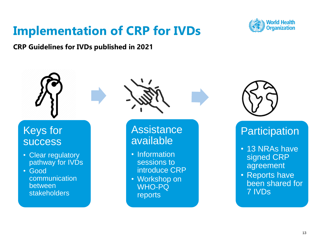### **Implementation of CRP for IVDs**



**CRP Guidelines for IVDs published in 2021**

### Keys for **success**

- Clear regulatory pathway for IVDs
- Good communication between stakeholders



**Assistance** available

- Information sessions to introduce CRP
- Workshop on WHO-PQ reports



### **Participation**

- 13 NRAs have signed CRP agreement
- Reports have been shared for 7 IVDs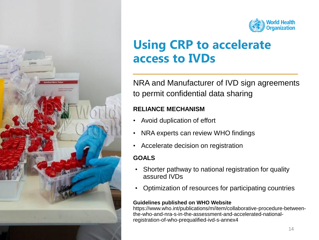

### **Using CRP to accelerate access to IVDs**

NRA and Manufacturer of IVD sign agreements to permit confidential data sharing

#### **RELIANCE MECHANISM**

- Avoid duplication of effort
- NRA experts can review WHO findings
- Accelerate decision on registration

#### **GOALS**

- Shorter pathway to national registration for quality assured IVDs
- Optimization of resources for participating countries

#### **Guidelines published on WHO Website**

https://www.who.int/publications/m/item/collaborative-procedure-betweenthe-who-and-nra-s-in-the-assessment-and-accelerated-nationalregistration-of-who-prequalified-ivd-s-annex4